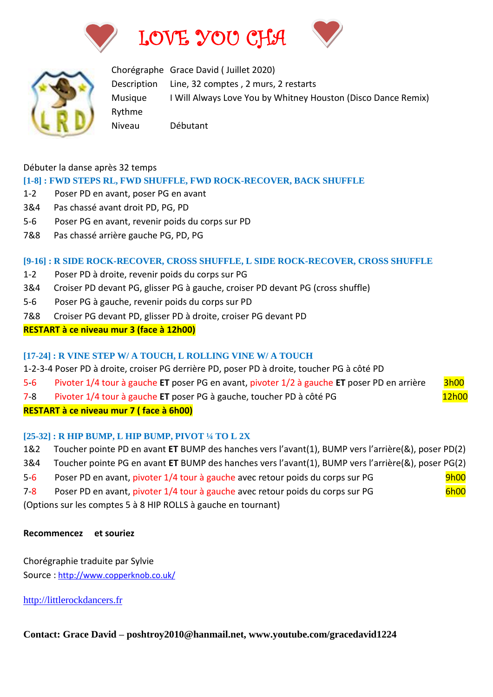







Chorégraphe Grace David ( Juillet 2020) Description Line, 32 comptes , 2 murs, 2 restarts Musique I Will Always Love You by Whitney Houston (Disco Dance Remix) Rythme Niveau Débutant

#### Débuter la danse après 32 temps

### **[1-8] : FWD STEPS RL, FWD SHUFFLE, FWD ROCK-RECOVER, BACK SHUFFLE**

- 1-2 Poser PD en avant, poser PG en avant
- 3&4 Pas chassé avant droit PD, PG, PD
- 5-6 Poser PG en avant, revenir poids du corps sur PD
- 7&8 Pas chassé arrière gauche PG, PD, PG

#### **[9-16] : R SIDE ROCK-RECOVER, CROSS SHUFFLE, L SIDE ROCK-RECOVER, CROSS SHUFFLE**

- 1-2 Poser PD à droite, revenir poids du corps sur PG
- 3&4 Croiser PD devant PG, glisser PG à gauche, croiser PD devant PG (cross shuffle)
- 5-6 Poser PG à gauche, revenir poids du corps sur PD
- 7&8 Croiser PG devant PD, glisser PD à droite, croiser PG devant PD

#### **RESTART à ce niveau mur 3 (face à 12h00)**

#### **[17-24] : R VINE STEP W/ A TOUCH, L ROLLING VINE W/ A TOUCH**

- 1-2-3-4 Poser PD à droite, croiser PG derrière PD, poser PD à droite, toucher PG à côté PD
- 5-6 Pivoter 1/4 tour à gauche **ET** poser PG en avant, pivoter 1/2 à gauche **ET** poser PD en arrière 3h00
- 7-8 Pivoter 1/4 tour à gauche **ET** poser PG à gauche, toucher PD à côté PG 12h00

## **RESTART à ce niveau mur 7 ( face à 6h00)**

#### **[25-32] : R HIP BUMP, L HIP BUMP, PIVOT ¼ TO L 2X**

- 1&2 Toucher pointe PD en avant **ET** BUMP des hanches vers l'avant(1), BUMP vers l'arrière(&), poser PD(2)
- 3&4 Toucher pointe PG en avant **ET** BUMP des hanches vers l'avant(1), BUMP vers l'arrière(&), poser PG(2)
- 5-6 Poser PD en avant, pivoter 1/4 tour à gauche avec retour poids du corps sur PG 9h00
- 7-8 Poser PD en avant, pivoter 1/4 tour à gauche avec retour poids du corps sur PG 6h00

(Options sur les comptes 5 à 8 HIP ROLLS à gauche en tournant)

#### **Recommencez et souriez**

Chorégraphie traduite par Sylvie Source : [http://www.copperknob.co.uk/](https://www.copperknob.co.uk/) 

[http://littlerockdancers.fr](http://littlerockdancers.fr/)

## **Contact: Grace David – poshtroy2010@hanmail.net, www.youtube.com/gracedavid1224**